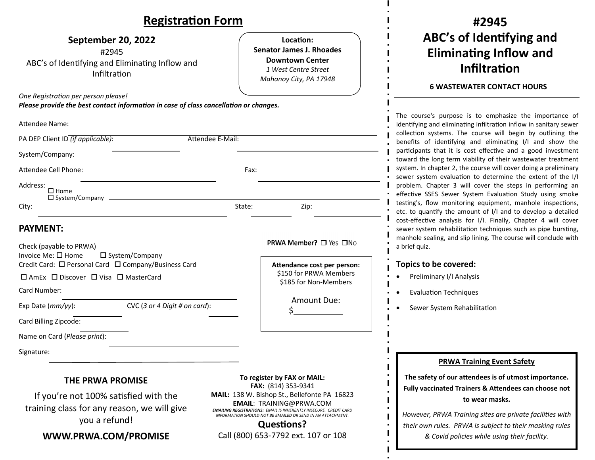### **RegistraƟon Form**

| <b>Registration Form</b>                                                                                                     |                                                                                                                          | #2945                                                                                                                                                                                                                                                                                                                                                                                                                                                                                                                                                                                                      |
|------------------------------------------------------------------------------------------------------------------------------|--------------------------------------------------------------------------------------------------------------------------|------------------------------------------------------------------------------------------------------------------------------------------------------------------------------------------------------------------------------------------------------------------------------------------------------------------------------------------------------------------------------------------------------------------------------------------------------------------------------------------------------------------------------------------------------------------------------------------------------------|
| September 20, 2022<br>#2945<br>ABC's of Identifying and Eliminating Inflow and<br>Infiltration                               | Location:<br><b>Senator James J. Rhoades</b><br><b>Downtown Center</b><br>1 West Centre Street<br>Mahanoy City, PA 17948 | ABC's of Identifying and<br><b>Eliminating Inflow and</b><br><b>Infiltration</b><br><b>6 WASTEWATER CONTACT HOURS</b>                                                                                                                                                                                                                                                                                                                                                                                                                                                                                      |
| One Registration per person please!<br>Please provide the best contact information in case of class cancellation or changes. |                                                                                                                          |                                                                                                                                                                                                                                                                                                                                                                                                                                                                                                                                                                                                            |
| <b>Attendee Name:</b>                                                                                                        |                                                                                                                          | The course's purpose is to emphasize the importance of<br>identifying and eliminating infiltration inflow in sanitary sewer<br>collection systems. The course will begin by outlining the                                                                                                                                                                                                                                                                                                                                                                                                                  |
| PA DEP Client ID (if applicable):<br>Attendee E-Mail:                                                                        |                                                                                                                          | benefits of identifying and eliminating I/I and show the                                                                                                                                                                                                                                                                                                                                                                                                                                                                                                                                                   |
| System/Company:                                                                                                              |                                                                                                                          | participants that it is cost effective and a good investment<br>toward the long term viability of their wastewater treatment                                                                                                                                                                                                                                                                                                                                                                                                                                                                               |
| Attendee Cell Phone:                                                                                                         | Fax:                                                                                                                     | system. In chapter 2, the course will cover doing a preliminary<br>sewer system evaluation to determine the extent of the I/I<br>problem. Chapter 3 will cover the steps in performing an<br>effective SSES Sewer System Evaluation Study using smoke<br>testing's, flow monitoring equipment, manhole inspections,<br>etc. to quantify the amount of I/I and to develop a detailed<br>cost-effective analysis for I/I. Finally, Chapter 4 will cover<br>sewer system rehabilitation techniques such as pipe bursting,<br>manhole sealing, and slip lining. The course will conclude with<br>a brief quiz. |
| Address:<br>$\square$ Home<br>$\Box$ System/Company $\Box$                                                                   |                                                                                                                          |                                                                                                                                                                                                                                                                                                                                                                                                                                                                                                                                                                                                            |
| City:                                                                                                                        | State:<br>Zip:                                                                                                           |                                                                                                                                                                                                                                                                                                                                                                                                                                                                                                                                                                                                            |
| <b>PAYMENT:</b><br>Check (payable to PRWA)<br>Invoice Me: □ Home<br>$\square$ System/Company                                 | <b>PRWA Member?</b> □ Yes □No                                                                                            |                                                                                                                                                                                                                                                                                                                                                                                                                                                                                                                                                                                                            |
| Credit Card: □ Personal Card □ Company/Business Card                                                                         | Attendance cost per person:                                                                                              | Topics to be covered:                                                                                                                                                                                                                                                                                                                                                                                                                                                                                                                                                                                      |
| □ AmEx □ Discover □ Visa □ MasterCard                                                                                        | \$150 for PRWA Members<br>\$185 for Non-Members                                                                          | Preliminary I/I Analysis                                                                                                                                                                                                                                                                                                                                                                                                                                                                                                                                                                                   |
| Card Number:                                                                                                                 |                                                                                                                          | <b>Evaluation Techniques</b>                                                                                                                                                                                                                                                                                                                                                                                                                                                                                                                                                                               |
| Exp Date (mm/yy):<br>CVC (3 or 4 Digit # on card):                                                                           | Amount Due:                                                                                                              | Sewer System Rehabilitation                                                                                                                                                                                                                                                                                                                                                                                                                                                                                                                                                                                |
| Card Billing Zipcode:                                                                                                        |                                                                                                                          |                                                                                                                                                                                                                                                                                                                                                                                                                                                                                                                                                                                                            |
| Name on Card (Please print):                                                                                                 |                                                                                                                          |                                                                                                                                                                                                                                                                                                                                                                                                                                                                                                                                                                                                            |
| Signature:                                                                                                                   |                                                                                                                          |                                                                                                                                                                                                                                                                                                                                                                                                                                                                                                                                                                                                            |
| <b>THE PRWA PROMISE</b>                                                                                                      | To register by FAX or MAIL:<br>FAX: (814) 353-9341                                                                       | <b>PRWA Training Event Safety</b><br>The safety of our attendees is of utmost importance.<br>Fully vaccinated Trainers & Attendees can choose not                                                                                                                                                                                                                                                                                                                                                                                                                                                          |
| If you're not 100% satisfied with the                                                                                        | MAIL: 138 W. Bishop St., Bellefonte PA 16823<br>$EXAMPLE 2 EXAMPLE 2 CDMA CMA$                                           | to wear masks.                                                                                                                                                                                                                                                                                                                                                                                                                                                                                                                                                                                             |

If you're not 100% saƟsfied with the training class for any reason, we will give you a refund!

**WWW.PRWA.COM/PROMISE**

 138 W. Bishop St., Bellefonte PA 16823 **EMAIL**: TRAINING@PRWA.COM *EMAILING REGISTRATIONS: EMAIL IS INHERENTLY INSECURE. CREDIT CARD INFORMATION SHOULD NOT BE EMAILED OR SEND IN AN ATTACHMENT.* **QuesƟons?**

*However, PRWA Training sites are private faciliƟes with their own rules. PRWA is subject to their masking rules & Covid policies while using their facility.*

 $\blacksquare$  $\overline{\phantom{a}}$ ×  $\mathbf I$ 

 $\mathbf{I}$ 

Call (800) 653‐7792 ext. 107 or 108